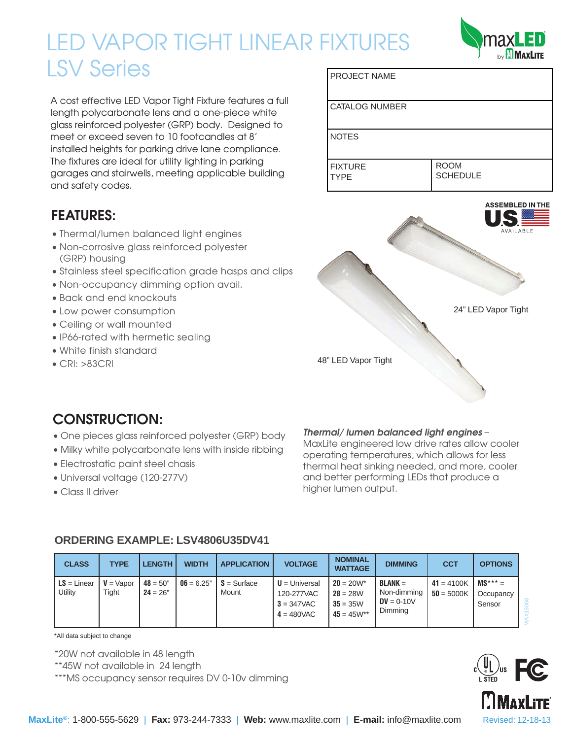# PROJECT NAME LED VAPOR TIGHT LINEAR FIXTURES LSV Series

A cost effective LED Vapor Tight Fixture features a full length polycarbonate lens and a one-piece white glass reinforced polyester (GRP) body. Designed to meet or exceed seven to 10 footcandles at 8' installed heights for parking drive lane compliance. The fixtures are ideal for utility lighting in parking garages and stairwells, meeting applicable building and safety codes.

## **FEATURES:**

- Thermal/lumen balanced light engines
- Non-corrosive glass reinforced polyester (GRP) housing
- Stainless steel specification grade hasps and clips
- Non-occupancy dimming option avail.
- Back and end knockouts
- Low power consumption
- Ceiling or wall mounted
- IP66-rated with hermetic sealing
- White finish standard
- CRI: >83CRI



## **CONSTRUCTION:**

- One pieces glass reinforced polyester (GRP) body
- Milky white polycarbonate lens with inside ribbing
- Electrostatic paint steel chasis
- Universal voltage (120-277V)
- Class II driver

#### *Thermal/ lumen balanced light engines* –

CATALOG NUMBER

NOTES

MaxLite engineered low drive rates allow cooler operating temperatures, which allows for less thermal heat sinking needed, and more, cooler and better performing LEDs that produce a higher lumen output.

| <b>CLASS</b>             | <b>TYPE</b>           | <b>LENGTH</b>            | <b>WIDTH</b> | <b>APPLICATION</b>     | <b>VOLTAGE</b>                                                  | <b>NOMINAL</b><br><b>WATTAGE</b>                            | <b>DIMMING</b>                                      | <b>CCT</b>                   | <b>OPTIONS</b>                   |
|--------------------------|-----------------------|--------------------------|--------------|------------------------|-----------------------------------------------------------------|-------------------------------------------------------------|-----------------------------------------------------|------------------------------|----------------------------------|
| $LS = Linear$<br>Utility | $V = V$ apor<br>Tight | $48 = 50"$<br>$24 = 26"$ | $06 = 6.25"$ | $S =$ Surface<br>Mount | $U =$ Universal<br>120-277VAC<br>$3 = 347$ VAC<br>$4 = 480$ VAC | $20 = 20W^*$<br>$28 = 28W$<br>$35 = 35W$<br>$45 = 45W^{**}$ | $BLANK =$<br>Non-dimming<br>$DV = 0-10V$<br>Dimming | $41 = 4100K$<br>$50 = 5000K$ | $MS*** =$<br>Occupancy<br>Sensor |

### **ORDERING EXAMPLE: LSV4806U35DV41**

\*All data subject to change

\*20W not available in 48 length

\*\*45W not available in 24 length

\*\*\*MS occupancy sensor requires DV 0-10v dimming